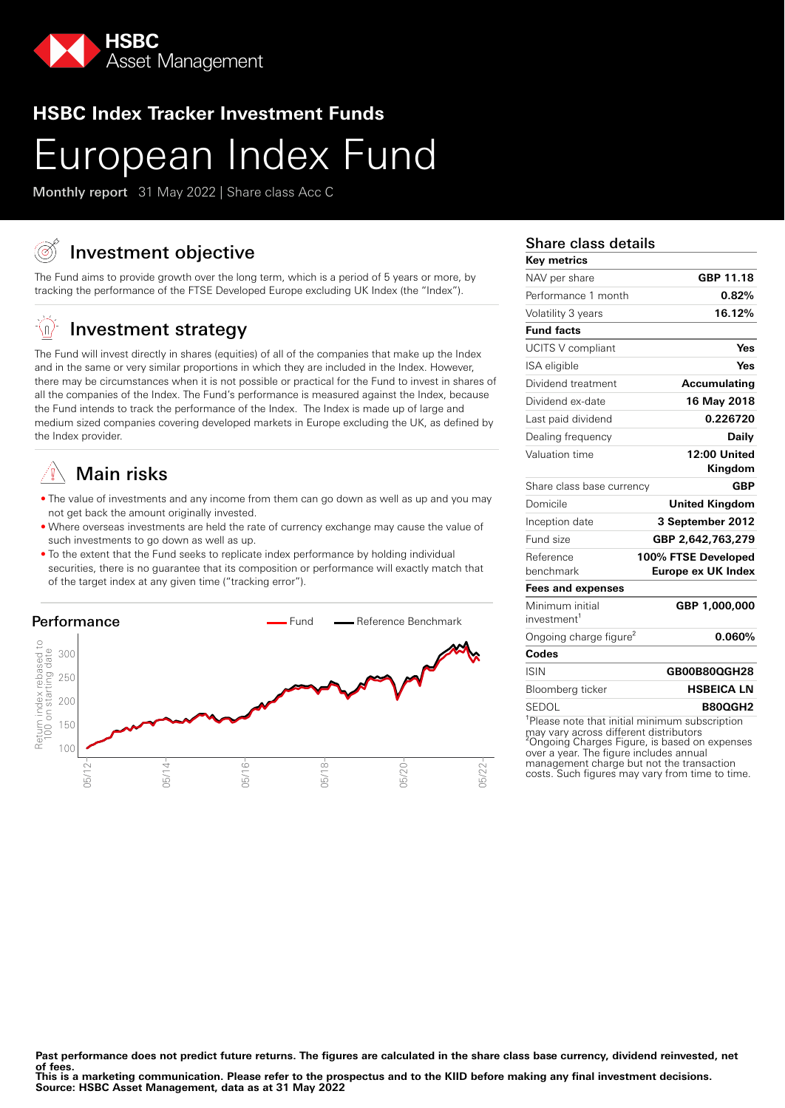

# **HSBC Index Tracker Investment Funds**

# European Index Fund

Monthly report 31 May 2022 | Share class Acc C

# Investment objective

The Fund aims to provide growth over the long term, which is a period of 5 years or more, by tracking the performance of the FTSE Developed Europe excluding UK Index (the "Index").

#### ĖΩ, Investment strategy

The Fund will invest directly in shares (equities) of all of the companies that make up the Index and in the same or very similar proportions in which they are included in the Index. However, there may be circumstances when it is not possible or practical for the Fund to invest in shares of all the companies of the Index. The Fund's performance is measured against the Index, because the Fund intends to track the performance of the Index. The Index is made up of large and medium sized companies covering developed markets in Europe excluding the UK, as defined by the Index provider.

# Main risks

- The value of investments and any income from them can go down as well as up and you may not get back the amount originally invested.
- Where overseas investments are held the rate of currency exchange may cause the value of such investments to go down as well as up.
- To the extent that the Fund seeks to replicate index performance by holding individual securities, there is no guarantee that its composition or performance will exactly match that of the target index at any given time ("tracking error").



## Share class details

| <b>Key metrics</b>                                         |                           |
|------------------------------------------------------------|---------------------------|
| NAV per share                                              | GBP 11.18                 |
| Performance 1 month                                        | 0.82%                     |
| Volatility 3 years                                         | 16.12%                    |
| <b>Fund facts</b>                                          |                           |
| <b>UCITS V compliant</b>                                   | Yes                       |
| ISA eligible                                               | Yes                       |
| Dividend treatment                                         | Accumulating              |
| Dividend ex-date                                           | 16 May 2018               |
| Last paid dividend                                         | 0.226720                  |
| Dealing frequency                                          | <b>Daily</b>              |
| Valuation time                                             | 12:00 United              |
|                                                            | Kingdom                   |
| Share class base currency                                  | <b>GBP</b>                |
| Domicile                                                   | <b>United Kingdom</b>     |
| Inception date                                             | 3 September 2012          |
| Fund size                                                  | GBP 2,642,763,279         |
| Reference                                                  | 100% FTSE Developed       |
| benchmark                                                  | <b>Europe ex UK Index</b> |
| <b>Fees and expenses</b>                                   |                           |
| Minimum initial                                            | GBP 1,000,000             |
| investment <sup>1</sup>                                    |                           |
| Ongoing charge figure <sup>2</sup>                         | 0.060%                    |
| Codes                                                      |                           |
| <b>ISIN</b>                                                | GB00B80QGH28              |
| Bloomberg ticker                                           | <b>HSBEICA LN</b>         |
| SEDOL                                                      | <b>B80QGH2</b>            |
| <sup>1</sup> Please note that initial minimum subscription |                           |

may vary across different distributors ²Ongoing Charges Figure, is based on expenses over a year. The figure includes annual management charge but not the transaction costs. Such figures may vary from time to time.

Past performance does not predict future returns. The figures are calculated in the share class base currency, dividend reinvested, net **of fees.**

**This is a marketing communication. Please refer to the prospectus and to the KIID before making any final investment decisions. Source: HSBC Asset Management, data as at 31 May 2022**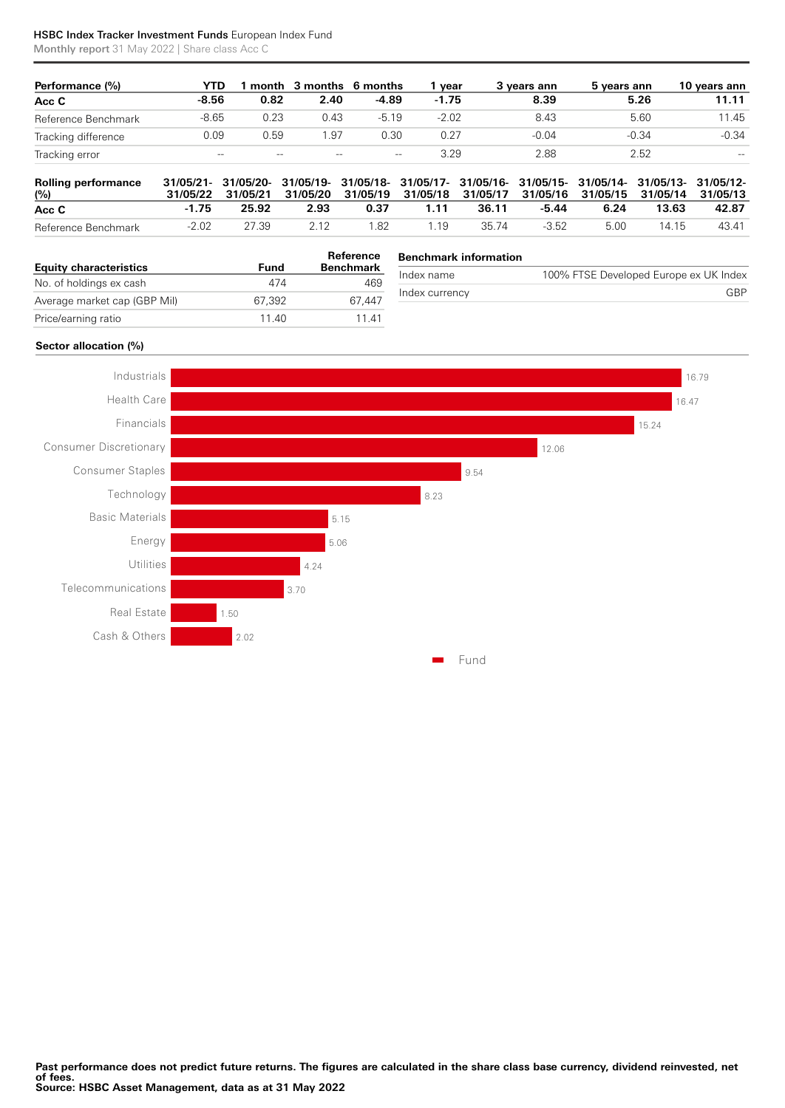### HSBC Index Tracker Investment Funds European Index Fund

Monthly report 31 May 2022 | Share class Acc C

| Performance (%)     | YTD     |       | month 3 months 6 months |         | vear    | 3 vears ann | 5 vears ann | 10 years ann |
|---------------------|---------|-------|-------------------------|---------|---------|-------------|-------------|--------------|
| Acc C               | $-8.56$ | 0.82  | 2.40                    | $-4.89$ | $-1.75$ | 8.39        | 5.26        | 11.11        |
| Reference Benchmark | $-8.65$ | 0.23  | 0.43                    | $-5.19$ | $-2.02$ | 8.43        | 5.60        | 11.45        |
| Tracking difference | 0.09    | 0.59  | 1.97                    | 0.30    | 0.27    | $-0.04$     | -0.34       | $-0.34$      |
| Tracking error      | $-\!$   | $- -$ | $- -$                   | $-\!$   | 3.29    | 2.88        | 2.52        | $-$          |

| <b>Rolling performance</b><br>(%) |         |       | 31/05/21- 31/05/20- 31/05/19- 31/05/18- 31/05/17- 31/05/16- 31/05/15- 31/05/14- 31/05/13- 31/05/12-<br>31/05/22 31/05/21 31/05/20 31/05/19 31/05/18 31/05/17 31/05/16 31/05/15 31/05/14 31/05/13 |      |      |       |         |      |       |       |
|-----------------------------------|---------|-------|--------------------------------------------------------------------------------------------------------------------------------------------------------------------------------------------------|------|------|-------|---------|------|-------|-------|
| Acc C                             | -1.75   | 25.92 | 2.93                                                                                                                                                                                             | 0.37 | 1.11 | 36.11 | -5.44   | 6.24 | 13.63 | 42.87 |
| Reference Benchmark               | $-2.02$ | 27.39 | 2.12                                                                                                                                                                                             | 1.82 | 1 19 | 35.74 | $-3.52$ | 5.00 | 14 15 | 43.41 |

| <b>Equity characteristics</b> | Fund   | Reference<br><b>Benchmark</b> |  |
|-------------------------------|--------|-------------------------------|--|
| No. of holdings ex cash       | 474    | 469                           |  |
| Average market cap (GBP Mil)  | 67.392 | 67.447                        |  |
| Price/earning ratio           | 11 40  | 11 41                         |  |

#### **Benchmark information**

| Index name     | 100% FTSE Developed Europe ex UK Index |
|----------------|----------------------------------------|
| Index currency | GRP                                    |
|                |                                        |

#### **Sector allocation (%)**

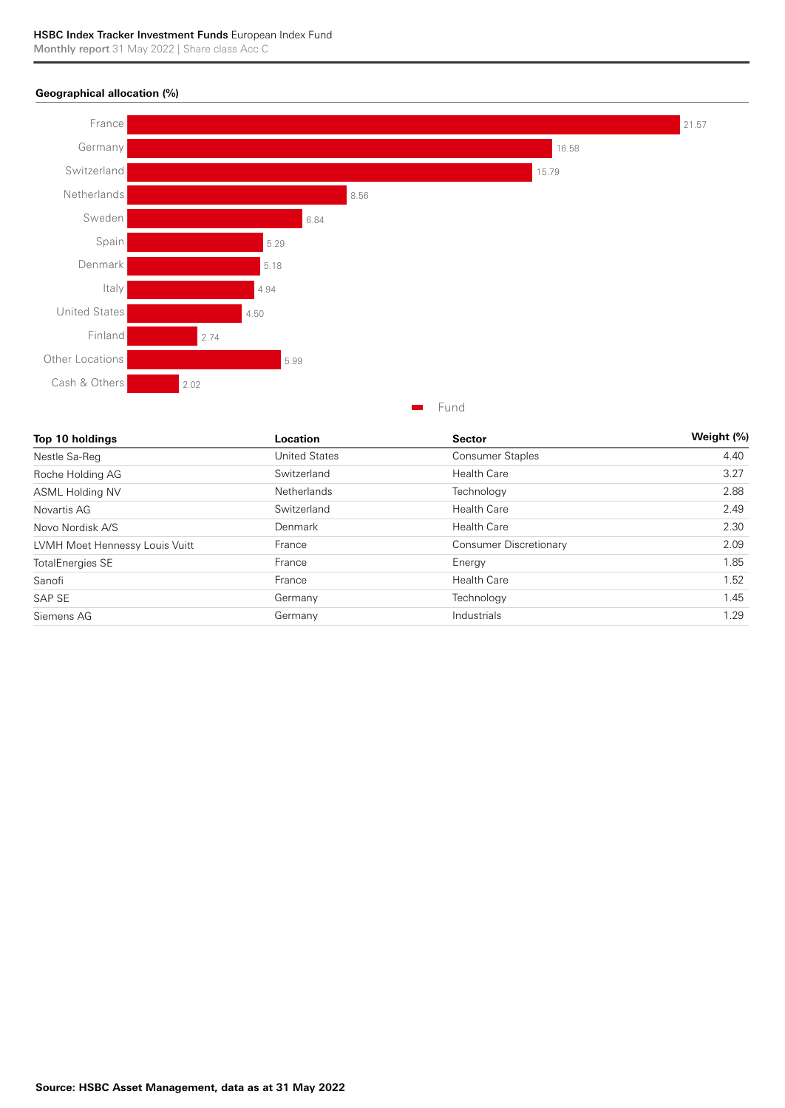#### **Geographical allocation (%)**



| Roche Holding AG               | Switzerland | <b>Health Care</b>     | 3.27 |
|--------------------------------|-------------|------------------------|------|
| <b>ASML Holding NV</b>         | Netherlands | Technology             | 2.88 |
| Novartis AG                    | Switzerland | <b>Health Care</b>     | 2.49 |
| Novo Nordisk A/S               | Denmark     | <b>Health Care</b>     | 2.30 |
| LVMH Moet Hennessy Louis Vuitt | France      | Consumer Discretionary | 2.09 |
| <b>TotalEnergies SE</b>        | France      | Energy                 | 1.85 |
| Sanofi                         | France      | <b>Health Care</b>     | 1.52 |
| SAP SE                         | Germany     | Technology             | 1.45 |
| Siemens AG                     | Germany     | Industrials            | 1.29 |